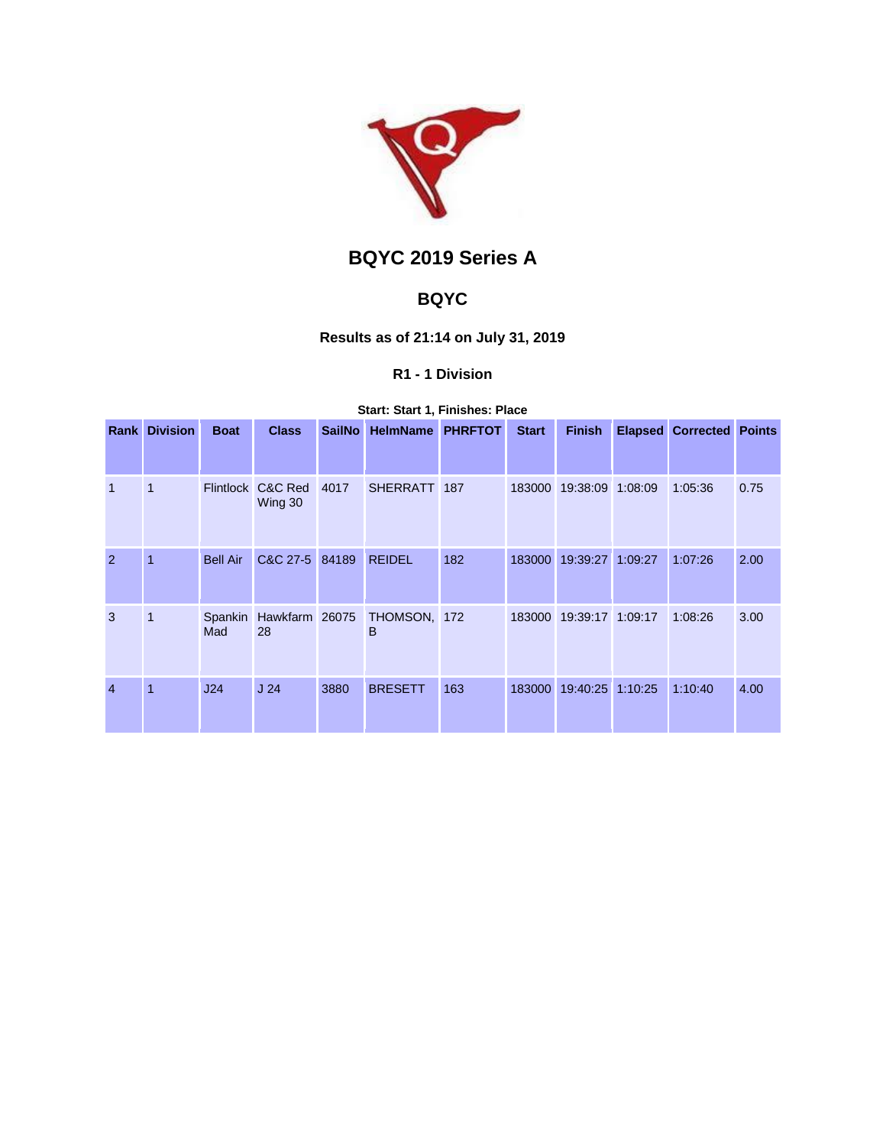

# **BQYC 2019 Series A**

## **BQYC**

## **Results as of 21:14 on July 31, 2019**

## **R1 - 1 Division**

## **Start: Start 1, Finishes: Place**

| Rank           | <b>Division</b> | <b>Boat</b>     | <b>Class</b>                 | <b>SailNo</b> | <b>HelmName</b>   | <b>PHRFTOT</b> | <b>Start</b> | <b>Finish</b>           |         | <b>Elapsed Corrected Points</b> |      |
|----------------|-----------------|-----------------|------------------------------|---------------|-------------------|----------------|--------------|-------------------------|---------|---------------------------------|------|
|                |                 |                 |                              |               |                   |                |              |                         |         |                                 |      |
| $\overline{1}$ | 1               |                 | Flintlock C&C Red<br>Wing 30 | 4017          | SHERRATT 187      |                | 183000       | 19:38:09                | 1:08:09 | 1:05:36                         | 0.75 |
| 2              | 1               | <b>Bell Air</b> | C&C 27-5 84189               |               | <b>REIDEL</b>     | 182            |              | 183000 19:39:27         | 1:09:27 | 1:07:26                         | 2.00 |
| 3              | 1               | Spankin<br>Mad  | Hawkfarm 26075<br>28         |               | THOMSON, 172<br>B |                |              | 183000 19:39:17 1:09:17 |         | 1:08:26                         | 3.00 |
| $\overline{4}$ | $\mathbf{1}$    | J24             | J <sub>24</sub>              | 3880          | <b>BRESETT</b>    | 163            | 183000       | 19:40:25                | 1:10:25 | 1:10:40                         | 4.00 |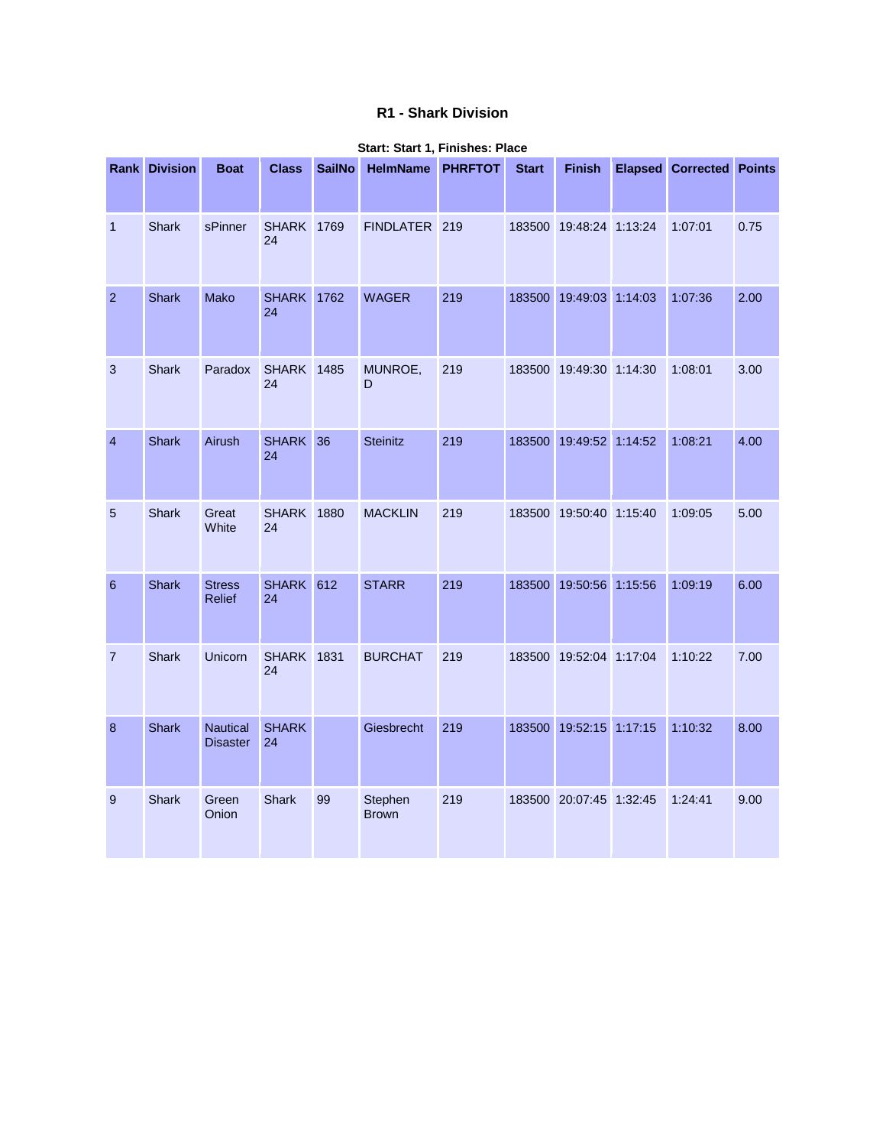## **R1 - Shark Division**

|                 | <b>Rank Division</b> | <b>Boat</b>                        | <b>Class</b>            | <b>SailNo</b> | HelmName PHRFTOT        |     | <b>Start</b> | <b>Finish</b>           | <b>Elapsed Corrected Points</b> |      |
|-----------------|----------------------|------------------------------------|-------------------------|---------------|-------------------------|-----|--------------|-------------------------|---------------------------------|------|
| $\mathbf 1$     | Shark                | sPinner                            | <b>SHARK 1769</b><br>24 |               | FINDLATER 219           |     |              | 183500 19:48:24 1:13:24 | 1:07:01                         | 0.75 |
| $\overline{2}$  | <b>Shark</b>         | Mako                               | <b>SHARK</b><br>24      | 1762          | <b>WAGER</b>            | 219 |              | 183500 19:49:03 1:14:03 | 1:07:36                         | 2.00 |
| 3               | Shark                | Paradox                            | <b>SHARK</b> 1485<br>24 |               | MUNROE,<br>D            | 219 |              | 183500 19:49:30 1:14:30 | 1:08:01                         | 3.00 |
| $\overline{4}$  | <b>Shark</b>         | Airush                             | <b>SHARK</b><br>24      | 36            | <b>Steinitz</b>         | 219 |              | 183500 19:49:52 1:14:52 | 1:08:21                         | 4.00 |
| 5               | <b>Shark</b>         | Great<br>White                     | <b>SHARK</b><br>24      | 1880          | <b>MACKLIN</b>          | 219 |              | 183500 19:50:40 1:15:40 | 1:09:05                         | 5.00 |
| $6\phantom{1}6$ | <b>Shark</b>         | <b>Stress</b><br>Relief            | SHARK 612<br>24         |               | <b>STARR</b>            | 219 |              | 183500 19:50:56 1:15:56 | 1:09:19                         | 6.00 |
| $\overline{7}$  | <b>Shark</b>         | Unicorn                            | <b>SHARK</b><br>24      | 1831          | <b>BURCHAT</b>          | 219 |              | 183500 19:52:04 1:17:04 | 1:10:22                         | 7.00 |
| 8               | <b>Shark</b>         | <b>Nautical</b><br><b>Disaster</b> | <b>SHARK</b><br>24      |               | Giesbrecht              | 219 |              | 183500 19:52:15 1:17:15 | 1:10:32                         | 8.00 |
| 9               | <b>Shark</b>         | Green<br>Onion                     | Shark                   | 99            | Stephen<br><b>Brown</b> | 219 |              | 183500 20:07:45 1:32:45 | 1:24:41                         | 9.00 |

#### **Start: Start 1, Finishes: Place**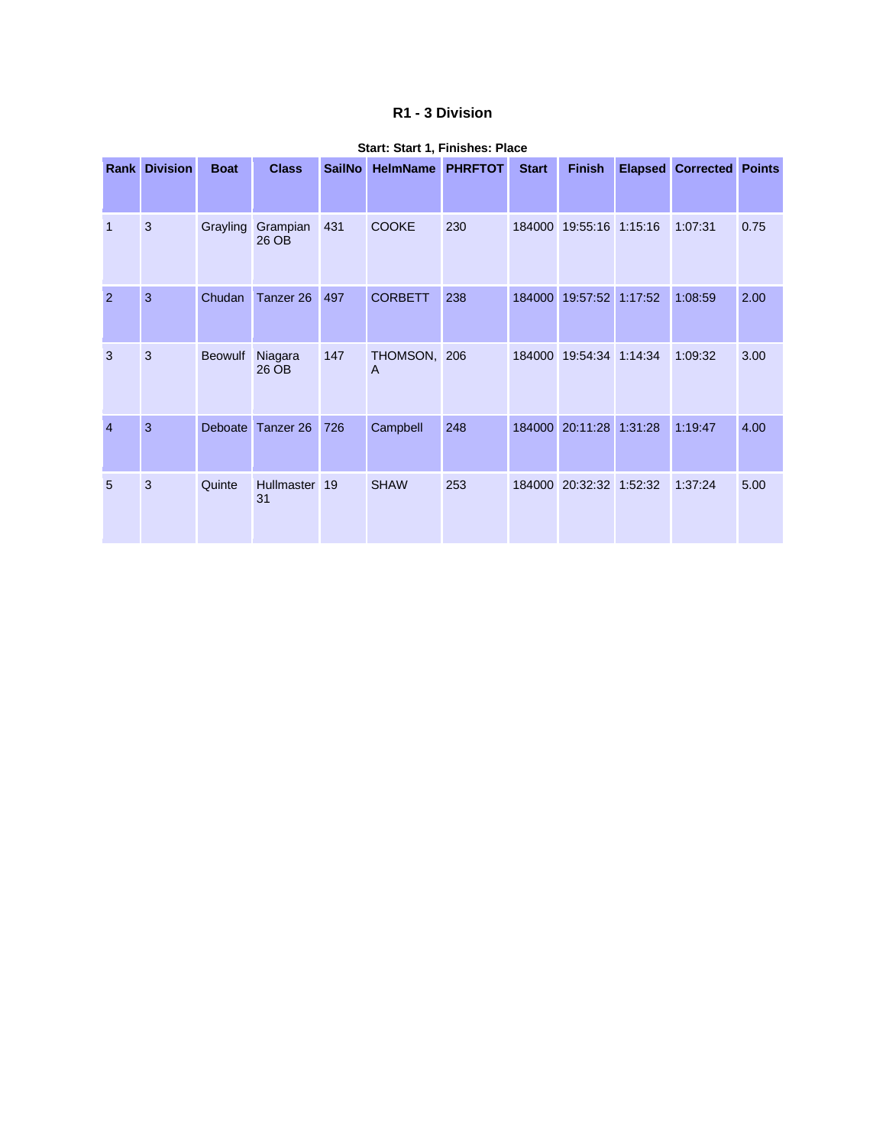### **R1 - 3 Division**

| Rank           | <b>Division</b> | <b>Boat</b>    | <b>Class</b>         | <b>SailNo</b> | <b>HelmName</b>   | <b>PHRFTOT</b> | <b>Start</b> | <b>Finish</b>           |         | <b>Elapsed Corrected Points</b> |      |
|----------------|-----------------|----------------|----------------------|---------------|-------------------|----------------|--------------|-------------------------|---------|---------------------------------|------|
| $\mathbf{1}$   | 3               | Grayling       | Grampian<br>26 OB    | 431           | <b>COOKE</b>      | 230            |              | 184000 19:55:16 1:15:16 |         | 1:07:31                         | 0.75 |
| 2              | 3               | Chudan         | Tanzer <sub>26</sub> | 497           | <b>CORBETT</b>    | 238            | 184000       | 19:57:52 1:17:52        |         | 1:08:59                         | 2.00 |
| 3              | 3               | <b>Beowulf</b> | Niagara<br>26 OB     | 147           | THOMSON, 206<br>A |                | 184000       | 19:54:34                | 1:14:34 | 1:09:32                         | 3.00 |
| $\overline{4}$ | 3               | Deboate        | Tanzer 26            | 726           | Campbell          | 248            | 184000       | 20:11:28 1:31:28        |         | 1:19:47                         | 4.00 |
| 5              | 3               | Quinte         | Hullmaster 19<br>31  |               | <b>SHAW</b>       | 253            |              | 184000 20:32:32 1:52:32 |         | 1:37:24                         | 5.00 |

#### **Start: Start 1, Finishes: Place**